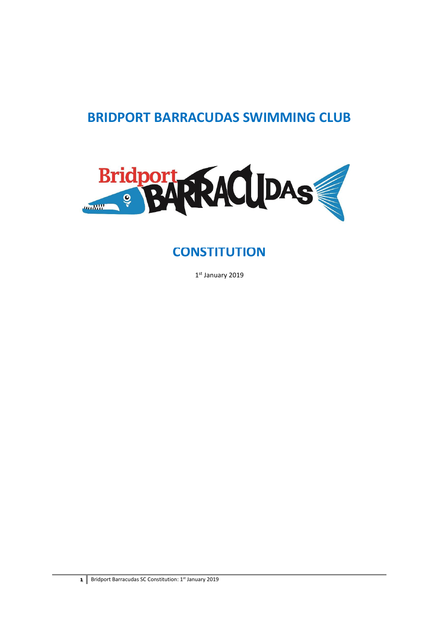# **BRIDPORT BARRACUDAS SWIMMING CLUB**



# **CONSTITUTION**

1 st January 2019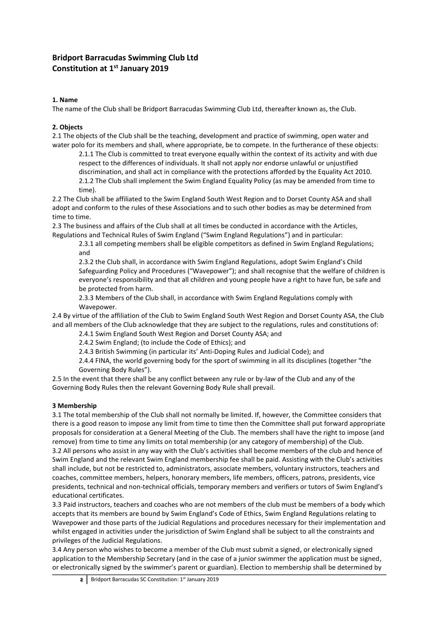# **Bridport Barracudas Swimming Club Ltd Constitution at 1 st January 2019**

#### **1. Name**

The name of the Club shall be Bridport Barracudas Swimming Club Ltd, thereafter known as, the Club.

# **2. Objects**

2.1 The objects of the Club shall be the teaching, development and practice of swimming, open water and water polo for its members and shall, where appropriate, be to compete. In the furtherance of these objects:

2.1.1 The Club is committed to treat everyone equally within the context of its activity and with due respect to the differences of individuals. It shall not apply nor endorse unlawful or unjustified discrimination, and shall act in compliance with the protections afforded by the Equality Act 2010. 2.1.2 The Club shall implement the Swim England Equality Policy (as may be amended from time to time).

2.2 The Club shall be affiliated to the Swim England South West Region and to Dorset County ASA and shall adopt and conform to the rules of these Associations and to such other bodies as may be determined from time to time.

2.3 The business and affairs of the Club shall at all times be conducted in accordance with the Articles, Regulations and Technical Rules of Swim England ("Swim England Regulations") and in particular:

2.3.1 all competing members shall be eligible competitors as defined in Swim England Regulations; and

2.3.2 the Club shall, in accordance with Swim England Regulations, adopt Swim England's Child Safeguarding Policy and Procedures ("Wavepower"); and shall recognise that the welfare of children is everyone's responsibility and that all children and young people have a right to have fun, be safe and be protected from harm.

2.3.3 Members of the Club shall, in accordance with Swim England Regulations comply with Wavepower.

2.4 By virtue of the affiliation of the Club to Swim England South West Region and Dorset County ASA, the Club and all members of the Club acknowledge that they are subject to the regulations, rules and constitutions of:

2.4.1 Swim England South West Region and Dorset County ASA; and

2.4.2 Swim England; (to include the Code of Ethics); and

2.4.3 British Swimming (in particular its' Anti-Doping Rules and Judicial Code); and

2.4.4 FINA, the world governing body for the sport of swimming in all its disciplines (together "the Governing Body Rules").

2.5 In the event that there shall be any conflict between any rule or by-law of the Club and any of the Governing Body Rules then the relevant Governing Body Rule shall prevail.

#### **3 Membership**

3.1 The total membership of the Club shall not normally be limited. If, however, the Committee considers that there is a good reason to impose any limit from time to time then the Committee shall put forward appropriate proposals for consideration at a General Meeting of the Club. The members shall have the right to impose (and remove) from time to time any limits on total membership (or any category of membership) of the Club. 3.2 All persons who assist in any way with the Club's activities shall become members of the club and hence of Swim England and the relevant Swim England membership fee shall be paid. Assisting with the Club's activities shall include, but not be restricted to, administrators, associate members, voluntary instructors, teachers and coaches, committee members, helpers, honorary members, life members, officers, patrons, presidents, vice presidents, technical and non-technical officials, temporary members and verifiers or tutors of Swim England's educational certificates.

3.3 Paid instructors, teachers and coaches who are not members of the club must be members of a body which accepts that its members are bound by Swim England's Code of Ethics, Swim England Regulations relating to Wavepower and those parts of the Judicial Regulations and procedures necessary for their implementation and whilst engaged in activities under the jurisdiction of Swim England shall be subject to all the constraints and privileges of the Judicial Regulations.

3.4 Any person who wishes to become a member of the Club must submit a signed, or electronically signed application to the Membership Secretary (and in the case of a junior swimmer the application must be signed, or electronically signed by the swimmer's parent or guardian). Election to membership shall be determined by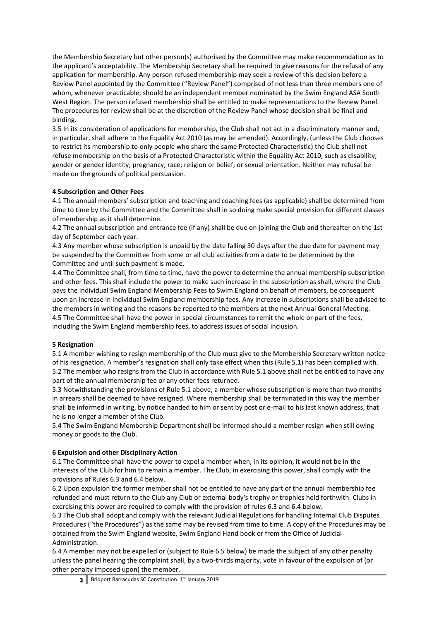the Membership Secretary but other person(s) authorised by the Committee may make recommendation as to the applicant's acceptability. The Membership Secretary shall be required to give reasons for the refusal of any application for membership. Any person refused membership may seek a review of this decision before a Review Panel appointed by the Committee ("Review Panel") comprised of not less than three members one of whom, whenever practicable, should be an independent member nominated by the Swim England ASA South West Region. The person refused membership shall be entitled to make representations to the Review Panel. The procedures for review shall be at the discretion of the Review Panel whose decision shall be final and binding.

3.5 In its consideration of applications for membership, the Club shall not act in a discriminatory manner and, in particular, shall adhere to the Equality Act 2010 (as may be amended). Accordingly, (unless the Club chooses to restrict its membership to only people who share the same Protected Characteristic) the Club shall not refuse membership on the basis of a Protected Characteristic within the Equality Act 2010, such as disability; gender or gender identity; pregnancy; race; religion or belief; or sexual orientation. Neither may refusal be made on the grounds of political persuasion.

# **4 Subscription and Other Fees**

4.1 The annual members' subscription and teaching and coaching fees (as applicable) shall be determined from time to time by the Committee and the Committee shall in so doing make special provision for different classes of membership as it shall determine.

4.2 The annual subscription and entrance fee (if any) shall be due on joining the Club and thereafter on the 1st day of September each year.

4.3 Any member whose subscription is unpaid by the date falling 30 days after the due date for payment may be suspended by the Committee from some or all club activities from a date to be determined by the Committee and until such payment is made.

4.4 The Committee shall, from time to time, have the power to determine the annual membership subscription and other fees. This shall include the power to make such increase in the subscription as shall, where the Club pays the individual Swim England Membership Fees to Swim England on behalf of members, be consequent upon an increase in individual Swim England membership fees. Any increase in subscriptions shall be advised to the members in writing and the reasons be reported to the members at the next Annual General Meeting. 4.5 The Committee shall have the power in special circumstances to remit the whole or part of the fees, including the Swim England membership fees, to address issues of social inclusion.

#### **5 Resignation**

5.1 A member wishing to resign membership of the Club must give to the Membership Secretary written notice of his resignation. A member's resignation shall only take effect when this (Rule 5.1) has been complied with. 5.2 The member who resigns from the Club in accordance with Rule 5.1 above shall not be entitled to have any part of the annual membership fee or any other fees returned.

5.3 Notwithstanding the provisions of Rule 5.1 above, a member whose subscription is more than two months in arrears shall be deemed to have resigned. Where membership shall be terminated in this way the member shall be informed in writing, by notice handed to him or sent by post or e-mail to his last known address, that he is no longer a member of the Club.

5.4 The Swim England Membership Department shall be informed should a member resign when still owing money or goods to the Club.

#### **6 Expulsion and other Disciplinary Action**

6.1 The Committee shall have the power to expel a member when, in its opinion, it would not be in the interests of the Club for him to remain a member. The Club, in exercising this power, shall comply with the provisions of Rules 6.3 and 6.4 below.

6.2 Upon expulsion the former member shall not be entitled to have any part of the annual membership fee refunded and must return to the Club any Club or external body's trophy or trophies held forthwith. Clubs in exercising this power are required to comply with the provision of rules 6.3 and 6.4 below.

6.3 The Club shall adopt and comply with the relevant Judicial Regulations for handling Internal Club Disputes Procedures ("the Procedures") as the same may be revised from time to time. A copy of the Procedures may be obtained from the Swim England website, Swim England Hand book or from the Office of Judicial Administration.

6.4 A member may not be expelled or (subject to Rule 6.5 below) be made the subject of any other penalty unless the panel hearing the complaint shall, by a two-thirds majority, vote in favour of the expulsion of (or other penalty imposed upon) the member.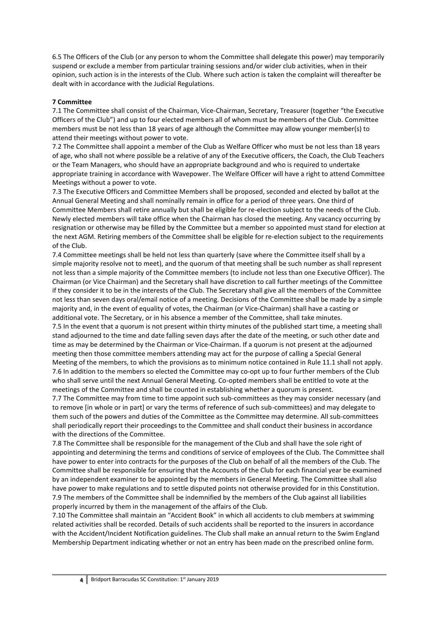6.5 The Officers of the Club (or any person to whom the Committee shall delegate this power) may temporarily suspend or exclude a member from particular training sessions and/or wider club activities, when in their opinion, such action is in the interests of the Club. Where such action is taken the complaint will thereafter be dealt with in accordance with the Judicial Regulations.

#### **7 Committee**

7.1 The Committee shall consist of the Chairman, Vice-Chairman, Secretary, Treasurer (together "the Executive Officers of the Club") and up to four elected members all of whom must be members of the Club. Committee members must be not less than 18 years of age although the Committee may allow younger member(s) to attend their meetings without power to vote.

7.2 The Committee shall appoint a member of the Club as Welfare Officer who must be not less than 18 years of age, who shall not where possible be a relative of any of the Executive officers, the Coach, the Club Teachers or the Team Managers, who should have an appropriate background and who is required to undertake appropriate training in accordance with Wavepower. The Welfare Officer will have a right to attend Committee Meetings without a power to vote.

7.3 The Executive Officers and Committee Members shall be proposed, seconded and elected by ballot at the Annual General Meeting and shall nominally remain in office for a period of three years. One third of Committee Members shall retire annually but shall be eligible for re-election subject to the needs of the Club. Newly elected members will take office when the Chairman has closed the meeting. Any vacancy occurring by resignation or otherwise may be filled by the Committee but a member so appointed must stand for election at the next AGM. Retiring members of the Committee shall be eligible for re-election subject to the requirements of the Club.

7.4 Committee meetings shall be held not less than quarterly (save where the Committee itself shall by a simple majority resolve not to meet), and the quorum of that meeting shall be such number as shall represent not less than a simple majority of the Committee members (to include not less than one Executive Officer). The Chairman (or Vice Chairman) and the Secretary shall have discretion to call further meetings of the Committee if they consider it to be in the interests of the Club. The Secretary shall give all the members of the Committee not less than seven days oral/email notice of a meeting. Decisions of the Committee shall be made by a simple majority and, in the event of equality of votes, the Chairman (or Vice-Chairman) shall have a casting or additional vote. The Secretary, or in his absence a member of the Committee, shall take minutes. 7.5 In the event that a quorum is not present within thirty minutes of the published start time, a meeting shall

stand adjourned to the time and date falling seven days after the date of the meeting, or such other date and time as may be determined by the Chairman or Vice-Chairman. If a quorum is not present at the adjourned meeting then those committee members attending may act for the purpose of calling a Special General Meeting of the members, to which the provisions as to minimum notice contained in Rule 11.1 shall not apply. 7.6 In addition to the members so elected the Committee may co-opt up to four further members of the Club who shall serve until the next Annual General Meeting. Co-opted members shall be entitled to vote at the meetings of the Committee and shall be counted in establishing whether a quorum is present.

7.7 The Committee may from time to time appoint such sub-committees as they may consider necessary (and to remove [in whole or in part] or vary the terms of reference of such sub-committees) and may delegate to them such of the powers and duties of the Committee as the Committee may determine. All sub-committees shall periodically report their proceedings to the Committee and shall conduct their business in accordance with the directions of the Committee.

7.8 The Committee shall be responsible for the management of the Club and shall have the sole right of appointing and determining the terms and conditions of service of employees of the Club. The Committee shall have power to enter into contracts for the purposes of the Club on behalf of all the members of the Club. The Committee shall be responsible for ensuring that the Accounts of the Club for each financial year be examined by an independent examiner to be appointed by the members in General Meeting. The Committee shall also have power to make regulations and to settle disputed points not otherwise provided for in this Constitution. 7.9 The members of the Committee shall be indemnified by the members of the Club against all liabilities properly incurred by them in the management of the affairs of the Club.

7.10 The Committee shall maintain an "Accident Book" in which all accidents to club members at swimming related activities shall be recorded. Details of such accidents shall be reported to the insurers in accordance with the Accident/Incident Notification guidelines. The Club shall make an annual return to the Swim England Membership Department indicating whether or not an entry has been made on the prescribed online form.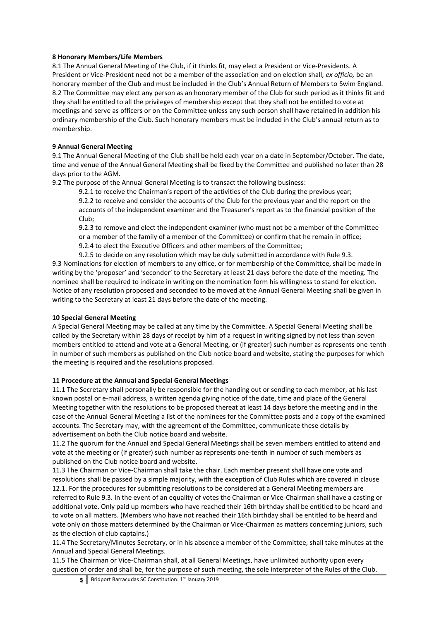#### **8 Honorary Members/Life Members**

8.1 The Annual General Meeting of the Club, if it thinks fit, may elect a President or Vice-Presidents. A President or Vice-President need not be a member of the association and on election shall, *ex officio,* be an honorary member of the Club and must be included in the Club's Annual Return of Members to Swim England. 8.2 The Committee may elect any person as an honorary member of the Club for such period as it thinks fit and they shall be entitled to all the privileges of membership except that they shall not be entitled to vote at meetings and serve as officers or on the Committee unless any such person shall have retained in addition his ordinary membership of the Club. Such honorary members must be included in the Club's annual return as to membership.

#### **9 Annual General Meeting**

9.1 The Annual General Meeting of the Club shall be held each year on a date in September/October. The date, time and venue of the Annual General Meeting shall be fixed by the Committee and published no later than 28 days prior to the AGM.

9.2 The purpose of the Annual General Meeting is to transact the following business:

9.2.1 to receive the Chairman's report of the activities of the Club during the previous year; 9.2.2 to receive and consider the accounts of the Club for the previous year and the report on the accounts of the independent examiner and the Treasurer's report as to the financial position of the Club;

9.2.3 to remove and elect the independent examiner (who must not be a member of the Committee or a member of the family of a member of the Committee) or confirm that he remain in office; 9.2.4 to elect the Executive Officers and other members of the Committee;

9.2.5 to decide on any resolution which may be duly submitted in accordance with Rule 9.3. 9.3 Nominations for election of members to any office, or for membership of the Committee, shall be made in writing by the 'proposer' and 'seconder' to the Secretary at least 21 days before the date of the meeting. The nominee shall be required to indicate in writing on the nomination form his willingness to stand for election. Notice of any resolution proposed and seconded to be moved at the Annual General Meeting shall be given in writing to the Secretary at least 21 days before the date of the meeting.

#### **10 Special General Meeting**

A Special General Meeting may be called at any time by the Committee. A Special General Meeting shall be called by the Secretary within 28 days of receipt by him of a request in writing signed by not less than seven members entitled to attend and vote at a General Meeting, or (if greater) such number as represents one-tenth in number of such members as published on the Club notice board and website, stating the purposes for which the meeting is required and the resolutions proposed.

#### **11 Procedure at the Annual and Special General Meetings**

11.1 The Secretary shall personally be responsible for the handing out or sending to each member, at his last known postal or e-mail address, a written agenda giving notice of the date, time and place of the General Meeting together with the resolutions to be proposed thereat at least 14 days before the meeting and in the case of the Annual General Meeting a list of the nominees for the Committee posts and a copy of the examined accounts. The Secretary may, with the agreement of the Committee, communicate these details by advertisement on both the Club notice board and website.

11.2 The quorum for the Annual and Special General Meetings shall be seven members entitled to attend and vote at the meeting or (if greater) such number as represents one-tenth in number of such members as published on the Club notice board and website.

11.3 The Chairman or Vice-Chairman shall take the chair. Each member present shall have one vote and resolutions shall be passed by a simple majority, with the exception of Club Rules which are covered in clause 12.1. For the procedures for submitting resolutions to be considered at a General Meeting members are referred to Rule 9.3. In the event of an equality of votes the Chairman or Vice-Chairman shall have a casting or additional vote. Only paid up members who have reached their 16th birthday shall be entitled to be heard and to vote on all matters. (Members who have not reached their 16th birthday shall be entitled to be heard and vote only on those matters determined by the Chairman or Vice-Chairman as matters concerning juniors, such as the election of club captains.)

11.4 The Secretary/Minutes Secretary, or in his absence a member of the Committee, shall take minutes at the Annual and Special General Meetings.

11.5 The Chairman or Vice-Chairman shall, at all General Meetings, have unlimited authority upon every question of order and shall be, for the purpose of such meeting, the sole interpreter of the Rules of the Club.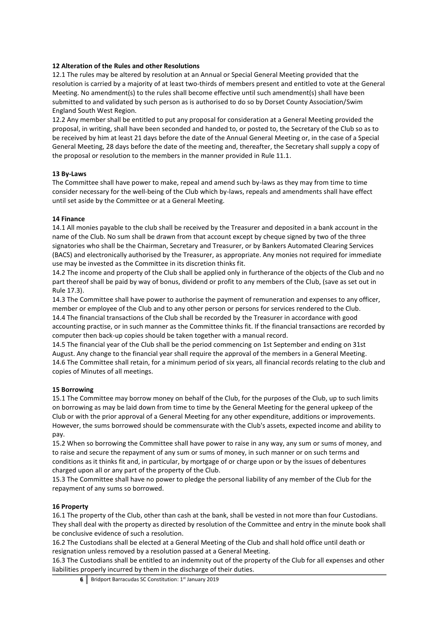#### **12 Alteration of the Rules and other Resolutions**

12.1 The rules may be altered by resolution at an Annual or Special General Meeting provided that the resolution is carried by a majority of at least two-thirds of members present and entitled to vote at the General Meeting. No amendment(s) to the rules shall become effective until such amendment(s) shall have been submitted to and validated by such person as is authorised to do so by Dorset County Association/Swim England South West Region.

12.2 Any member shall be entitled to put any proposal for consideration at a General Meeting provided the proposal, in writing, shall have been seconded and handed to, or posted to, the Secretary of the Club so as to be received by him at least 21 days before the date of the Annual General Meeting or, in the case of a Special General Meeting, 28 days before the date of the meeting and, thereafter, the Secretary shall supply a copy of the proposal or resolution to the members in the manner provided in Rule 11.1.

# **13 By-Laws**

The Committee shall have power to make, repeal and amend such by-laws as they may from time to time consider necessary for the well-being of the Club which by-laws, repeals and amendments shall have effect until set aside by the Committee or at a General Meeting.

# **14 Finance**

14.1 All monies payable to the club shall be received by the Treasurer and deposited in a bank account in the name of the Club. No sum shall be drawn from that account except by cheque signed by two of the three signatories who shall be the Chairman, Secretary and Treasurer, or by Bankers Automated Clearing Services (BACS) and electronically authorised by the Treasurer, as appropriate. Any monies not required for immediate use may be invested as the Committee in its discretion thinks fit.

14.2 The income and property of the Club shall be applied only in furtherance of the objects of the Club and no part thereof shall be paid by way of bonus, dividend or profit to any members of the Club, (save as set out in Rule 17.3).

14.3 The Committee shall have power to authorise the payment of remuneration and expenses to any officer, member or employee of the Club and to any other person or persons for services rendered to the Club. 14.4 The financial transactions of the Club shall be recorded by the Treasurer in accordance with good accounting practise, or in such manner as the Committee thinks fit. If the financial transactions are recorded by computer then back-up copies should be taken together with a manual record.

14.5 The financial year of the Club shall be the period commencing on 1st September and ending on 31st August. Any change to the financial year shall require the approval of the members in a General Meeting. 14.6 The Committee shall retain, for a minimum period of six years, all financial records relating to the club and copies of Minutes of all meetings.

# **15 Borrowing**

15.1 The Committee may borrow money on behalf of the Club, for the purposes of the Club, up to such limits on borrowing as may be laid down from time to time by the General Meeting for the general upkeep of the Club or with the prior approval of a General Meeting for any other expenditure, additions or improvements. However, the sums borrowed should be commensurate with the Club's assets, expected income and ability to pay.

15.2 When so borrowing the Committee shall have power to raise in any way, any sum or sums of money, and to raise and secure the repayment of any sum or sums of money, in such manner or on such terms and conditions as it thinks fit and, in particular, by mortgage of or charge upon or by the issues of debentures charged upon all or any part of the property of the Club.

15.3 The Committee shall have no power to pledge the personal liability of any member of the Club for the repayment of any sums so borrowed.

# **16 Property**

16.1 The property of the Club, other than cash at the bank, shall be vested in not more than four Custodians. They shall deal with the property as directed by resolution of the Committee and entry in the minute book shall be conclusive evidence of such a resolution.

16.2 The Custodians shall be elected at a General Meeting of the Club and shall hold office until death or resignation unless removed by a resolution passed at a General Meeting.

16.3 The Custodians shall be entitled to an indemnity out of the property of the Club for all expenses and other liabilities properly incurred by them in the discharge of their duties.